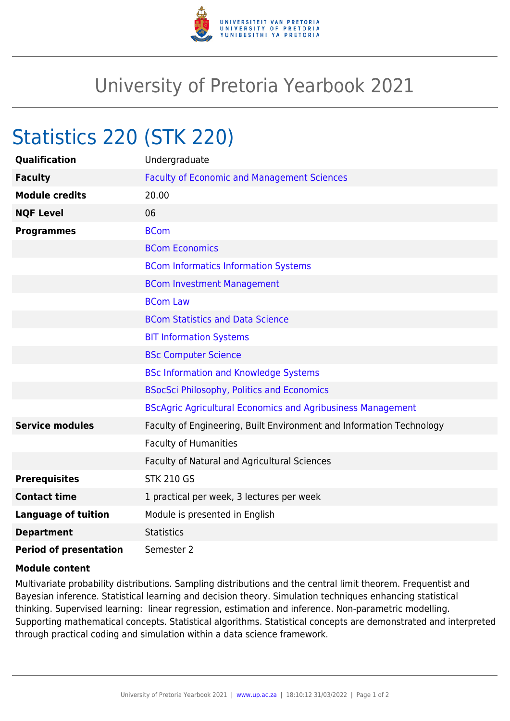

## University of Pretoria Yearbook 2021

## Statistics 220 (STK 220)

| <b>Qualification</b>          | Undergraduate                                                        |
|-------------------------------|----------------------------------------------------------------------|
| <b>Faculty</b>                | <b>Faculty of Economic and Management Sciences</b>                   |
| <b>Module credits</b>         | 20.00                                                                |
| <b>NQF Level</b>              | 06                                                                   |
| <b>Programmes</b>             | <b>BCom</b>                                                          |
|                               | <b>BCom Economics</b>                                                |
|                               | <b>BCom Informatics Information Systems</b>                          |
|                               | <b>BCom Investment Management</b>                                    |
|                               | <b>BCom Law</b>                                                      |
|                               | <b>BCom Statistics and Data Science</b>                              |
|                               | <b>BIT Information Systems</b>                                       |
|                               | <b>BSc Computer Science</b>                                          |
|                               | <b>BSc Information and Knowledge Systems</b>                         |
|                               | <b>BSocSci Philosophy, Politics and Economics</b>                    |
|                               | <b>BScAgric Agricultural Economics and Agribusiness Management</b>   |
| <b>Service modules</b>        | Faculty of Engineering, Built Environment and Information Technology |
|                               | <b>Faculty of Humanities</b>                                         |
|                               | Faculty of Natural and Agricultural Sciences                         |
| <b>Prerequisites</b>          | <b>STK 210 GS</b>                                                    |
| <b>Contact time</b>           | 1 practical per week, 3 lectures per week                            |
| <b>Language of tuition</b>    | Module is presented in English                                       |
| <b>Department</b>             | <b>Statistics</b>                                                    |
| <b>Period of presentation</b> | Semester 2                                                           |

## **Module content**

Multivariate probability distributions. Sampling distributions and the central limit theorem. Frequentist and Bayesian inference. Statistical learning and decision theory. Simulation techniques enhancing statistical thinking. Supervised learning: linear regression, estimation and inference. Non-parametric modelling. Supporting mathematical concepts. Statistical algorithms. Statistical concepts are demonstrated and interpreted through practical coding and simulation within a data science framework.